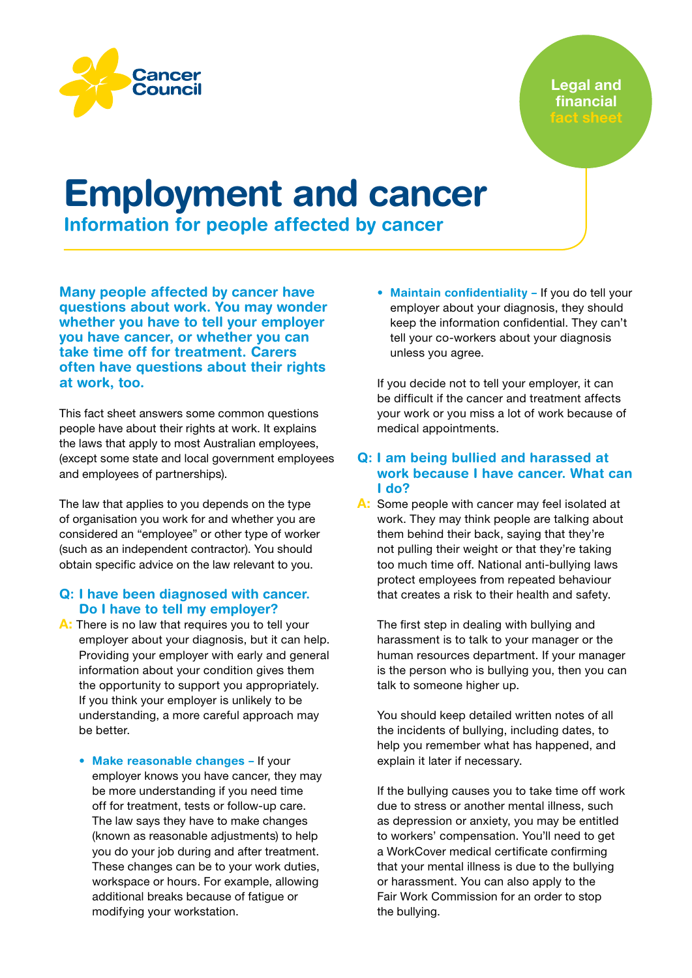

# Employment and cancer

Information for people affected by cancer

Many people affected by cancer have questions about work. You may wonder whether you have to tell your employer you have cancer, or whether you can take time off for treatment. Carers often have questions about their rights at work, too.

This fact sheet answers some common questions people have about their rights at work. It explains the laws that apply to most Australian employees, (except some state and local government employees and employees of partnerships).

The law that applies to you depends on the type of organisation you work for and whether you are considered an "employee" or other type of worker (such as an independent contractor). You should obtain specific advice on the law relevant to you.

## Q: I have been diagnosed with cancer. Do I have to tell my employer?

- A: There is no law that requires you to tell your employer about your diagnosis, but it can help. Providing your employer with early and general information about your condition gives them the opportunity to support you appropriately. If you think your employer is unlikely to be understanding, a more careful approach may be better.
	- Make reasonable changes If your employer knows you have cancer, they may be more understanding if you need time off for treatment, tests or follow-up care. The law says they have to make changes (known as reasonable adjustments) to help you do your job during and after treatment. These changes can be to your work duties, workspace or hours. For example, allowing additional breaks because of fatigue or modifying your workstation.

• Maintain confidentiality - If you do tell your employer about your diagnosis, they should keep the information confidential. They can't tell your co-workers about your diagnosis unless you agree.

If you decide not to tell your employer, it can be difficult if the cancer and treatment affects your work or you miss a lot of work because of medical appointments.

## Q: I am being bullied and harassed at work because I have cancer. What can I do?

A: Some people with cancer may feel isolated at work. They may think people are talking about them behind their back, saying that they're not pulling their weight or that they're taking too much time off. National anti-bullying laws protect employees from repeated behaviour that creates a risk to their health and safety.

The first step in dealing with bullying and harassment is to talk to your manager or the human resources department. If your manager is the person who is bullying you, then you can talk to someone higher up.

You should keep detailed written notes of all the incidents of bullying, including dates, to help you remember what has happened, and explain it later if necessary.

If the bullying causes you to take time off work due to stress or another mental illness, such as depression or anxiety, you may be entitled to workers' compensation. You'll need to get a WorkCover medical certificate confirming that your mental illness is due to the bullying or harassment. You can also apply to the Fair Work Commission for an order to stop the bullying.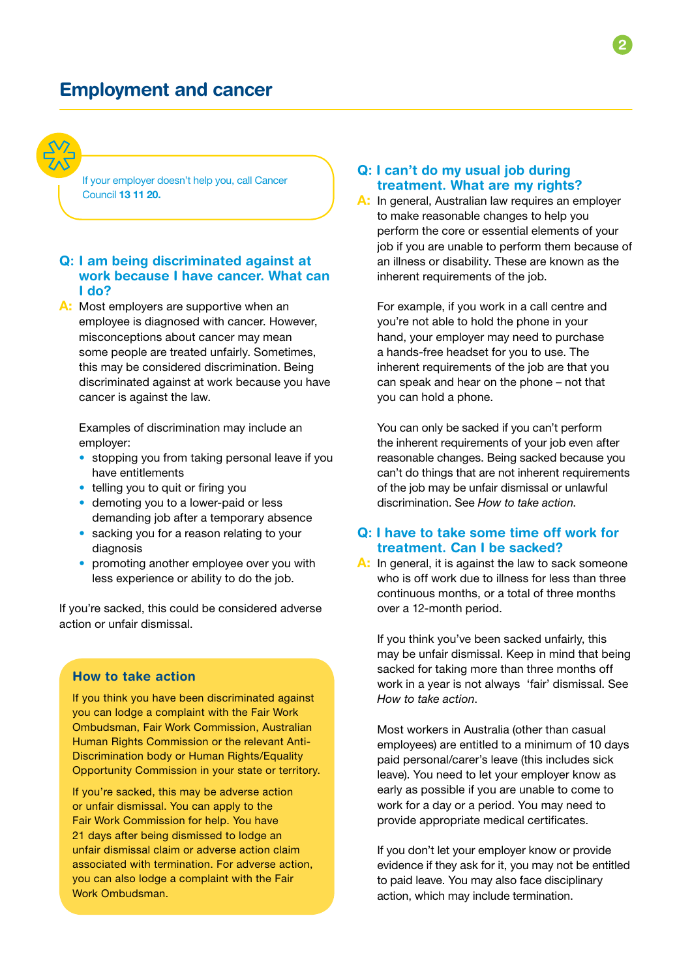

If your employer doesn't help you, call Cancer Council 13 11 20.

## Q: I am being discriminated against at work because I have cancer. What can I do?

A: Most employers are supportive when an employee is diagnosed with cancer. However, misconceptions about cancer may mean some people are treated unfairly. Sometimes, this may be considered discrimination. Being discriminated against at work because you have cancer is against the law.

Examples of discrimination may include an employer:

- stopping you from taking personal leave if you have entitlements
- telling you to quit or firing you
- demoting you to a lower-paid or less demanding job after a temporary absence
- sacking you for a reason relating to your diagnosis
- promoting another employee over you with less experience or ability to do the job.

If you're sacked, this could be considered adverse action or unfair dismissal.

## How to take action

If you think you have been discriminated against you can lodge a complaint with the Fair Work Ombudsman, Fair Work Commission, Australian Human Rights Commission or the relevant Anti-Discrimination body or Human Rights/Equality Opportunity Commission in your state or territory.

If you're sacked, this may be adverse action or unfair dismissal. You can apply to the Fair Work Commission for help. You have 21 days after being dismissed to lodge an unfair dismissal claim or adverse action claim associated with termination. For adverse action, you can also lodge a complaint with the Fair Work Ombudsman.

## Q: I can't do my usual job during treatment. What are my rights?

A: In general, Australian law requires an employer to make reasonable changes to help you perform the core or essential elements of your job if you are unable to perform them because of an illness or disability. These are known as the inherent requirements of the job.

For example, if you work in a call centre and you're not able to hold the phone in your hand, your employer may need to purchase a hands-free headset for you to use. The inherent requirements of the job are that you can speak and hear on the phone – not that you can hold a phone.

You can only be sacked if you can't perform the inherent requirements of your job even after reasonable changes. Being sacked because you can't do things that are not inherent requirements of the job may be unfair dismissal or unlawful discrimination. See *How to take action*.

## Q: I have to take some time off work for treatment. Can I be sacked?

A: In general, it is against the law to sack someone who is off work due to illness for less than three continuous months, or a total of three months over a 12-month period.

If you think you've been sacked unfairly, this may be unfair dismissal. Keep in mind that being sacked for taking more than three months off work in a year is not always 'fair' dismissal. See *How to take action*.

Most workers in Australia (other than casual employees) are entitled to a minimum of 10 days paid personal/carer's leave (this includes sick leave). You need to let your employer know as early as possible if you are unable to come to work for a day or a period. You may need to provide appropriate medical certificates.

If you don't let your employer know or provide evidence if they ask for it, you may not be entitled to paid leave. You may also face disciplinary action, which may include termination.

2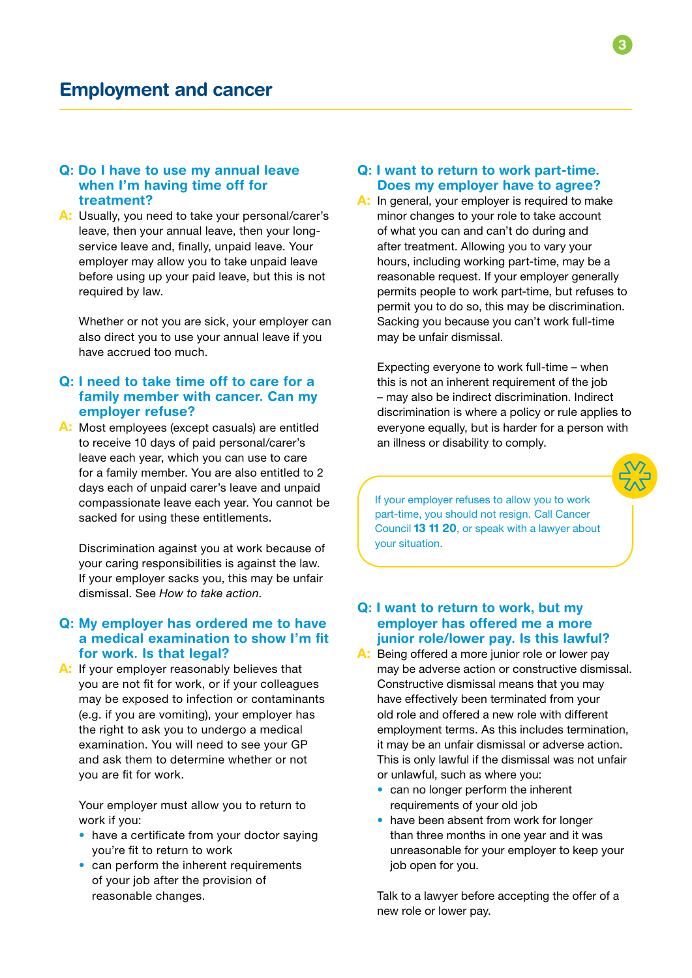#### Q: Do I have to use my annual leave when I'm having time off for treatment?

A: Usually, you need to take your personal/carer's leave, then your annual leave, then your longservice leave and, finally, unpaid leave. Your employer may allow you to take unpaid leave before using up your paid leave, but this is not required by law.

Whether or not you are sick, your employer can also direct you to use your annual leave if you have accrued too much.

## Q: I need to take time off to care for a family member with cancer. Can my employer refuse?

A: Most employees (except casuals) are entitled to receive 10 days of paid personal/carer's leave each year, which you can use to care for a family member. You are also entitled to 2 days each of unpaid carer's leave and unpaid compassionate leave each year. You cannot be sacked for using these entitlements.

Discrimination against you at work because of your caring responsibilities is against the law. If your employer sacks you, this may be unfair dismissal. See *How to take action*.

## Q: My employer has ordered me to have a medical examination to show I'm fit for work. Is that legal?

A: If your employer reasonably believes that you are not fit for work, or if your colleagues may be exposed to infection or contaminants (e.g. if you are vomiting), your employer has the right to ask you to undergo a medical examination. You will need to see your GP and ask them to determine whether or not you are fit for work.

Your employer must allow you to return to work if you:

- have a certificate from your doctor saying you're fit to return to work
- can perform the inherent requirements of your job after the provision of reasonable changes.

## Q: I want to return to work part-time. Does my employer have to agree?

A: In general, your employer is required to make minor changes to your role to take account of what you can and can't do during and after treatment. Allowing you to vary your hours, including working part-time, may be a reasonable request. If your employer generally permits people to work part-time, but refuses to permit you to do so, this may be discrimination. Sacking you because you can't work full-time may be unfair dismissal.

Expecting everyone to work full-time – when this is not an inherent requirement of the job – may also be indirect discrimination. Indirect discrimination is where a policy or rule applies to everyone equally, but is harder for a person with an illness or disability to comply.

If your employer refuses to allow you to work part-time, you should not resign. Call Cancer Council 13 11 20, or speak with a lawyer about your situation.

#### Q: I want to return to work, but my employer has offered me a more junior role/lower pay. Is this lawful?

- A: Being offered a more junior role or lower pay may be adverse action or constructive dismissal. Constructive dismissal means that you may have effectively been terminated from your old role and offered a new role with different employment terms. As this includes termination, it may be an unfair dismissal or adverse action. This is only lawful if the dismissal was not unfair or unlawful, such as where you:
	- can no longer perform the inherent requirements of your old job
	- have been absent from work for longer than three months in one year and it was unreasonable for your employer to keep your job open for you.

Talk to a lawyer before accepting the offer of a new role or lower pay.

3